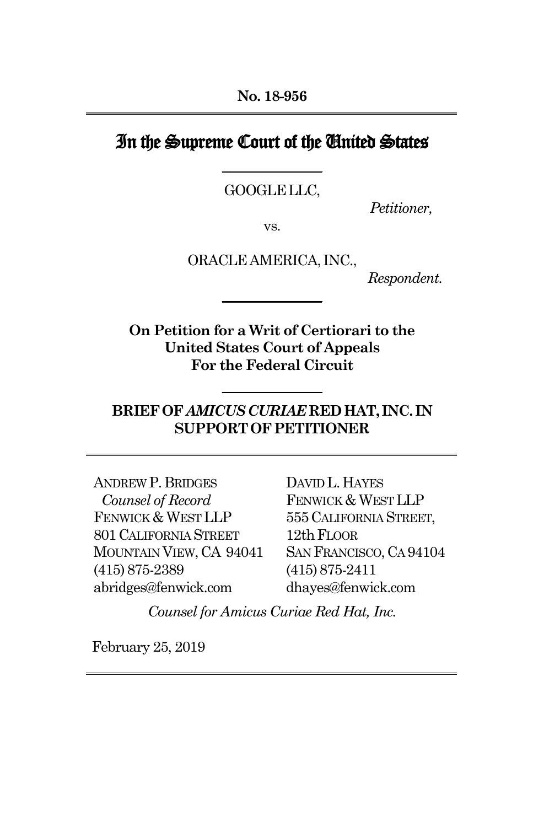## In the Supreme Court of the United States **\_\_\_\_\_\_\_\_\_\_\_\_\_\_\_**

GOOGLELLC,

*Petitioner,*

vs.

ORACLEAMERICA, INC.,

**\_\_\_\_\_\_\_\_\_\_\_\_\_\_\_**

 *Respondent.*

**On Petition for a Writ of Certiorari to the United States Court of Appeals For the Federal Circuit**

## **BRIEFOF***AMICUSCURIAE***REDHAT, INC. IN SUPPORTOFPETITIONER**

**\_\_\_\_\_\_\_\_\_\_\_\_\_\_\_**

ANDREW P. BRIDGES *Counsel of Record* FENWICK & WEST LLP 801CALIFORNIA STREET MOUNTAIN VIEW,CA 94041 (415)875-2389 abridges@fenwick.com

DAVID L. HAYES FENWICK & WEST LLP 555CALIFORNIA STREET, 12th FLOOR SAN FRANCISCO, CA 94104 (415)875-2411 dhayes@fenwick.com

*Counsel for Amicus Curiae Red Hat, Inc.*

February 25, 2019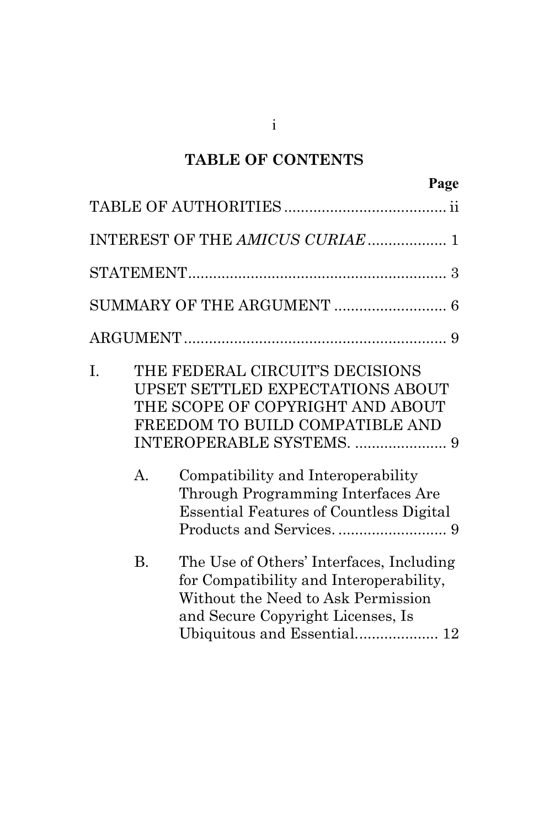## **TABLE OF CONTENTS**

|    |                | INTEREST OF THE AMICUS CURIAE 1                                                                                                                                                                                                                                                                              |
|----|----------------|--------------------------------------------------------------------------------------------------------------------------------------------------------------------------------------------------------------------------------------------------------------------------------------------------------------|
|    |                |                                                                                                                                                                                                                                                                                                              |
|    |                |                                                                                                                                                                                                                                                                                                              |
|    |                |                                                                                                                                                                                                                                                                                                              |
| I. | A <sub>1</sub> | THE FEDERAL CIRCUIT'S DECISIONS<br><b>UPSET SETTLED EXPECTATIONS ABOUT</b><br>THE SCOPE OF COPYRIGHT AND ABOUT<br>FREEDOM TO BUILD COMPATIBLE AND<br>INTEROPERABLE SYSTEMS.  9<br>Compatibility and Interoperability<br>Through Programming Interfaces Are<br><b>Essential Features of Countless Digital</b> |
|    | <b>B.</b>      | The Use of Others' Interfaces, Including<br>for Compatibility and Interoperability,<br>Without the Need to Ask Permission<br>and Secure Copyright Licenses, Is<br>Ubiquitous and Essential 12                                                                                                                |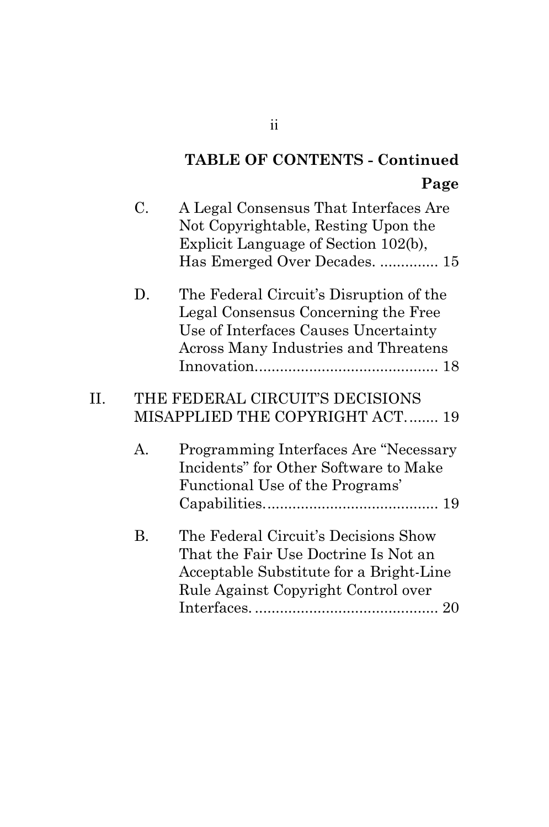# **TABLE OF CONTENTS - Continued Page**

|    | C.        | A Legal Consensus That Interfaces Are<br>Not Copyrightable, Resting Upon the<br>Explicit Language of Section 102(b),<br>Has Emerged Over Decades.  15          |
|----|-----------|----------------------------------------------------------------------------------------------------------------------------------------------------------------|
|    | D.        | The Federal Circuit's Disruption of the<br>Legal Consensus Concerning the Free<br>Use of Interfaces Causes Uncertainty<br>Across Many Industries and Threatens |
| Π. |           | THE FEDERAL CIRCUIT'S DECISIONS<br>MISAPPLIED THE COPYRIGHT ACT 19                                                                                             |
|    | А.        | Programming Interfaces Are "Necessary<br>Incidents" for Other Software to Make<br>Functional Use of the Programs'                                              |
|    | <b>B.</b> | The Federal Circuit's Decisions Show<br>That the Fair Use Doctrine Is Not an<br>Acceptable Substitute for a Bright-Line<br>Rule Against Copyright Control over |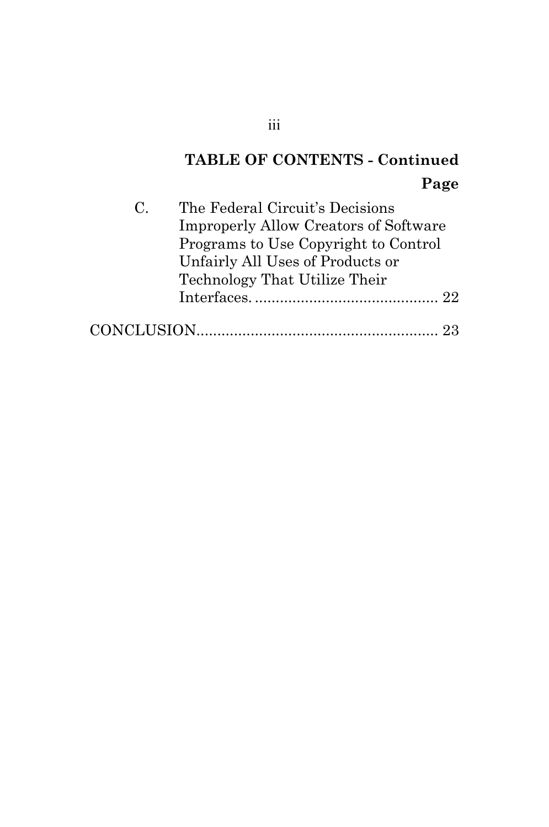# **TABLE OF CONTENTS - Continued Page**

| $\mathbf{C}$ | The Federal Circuit's Decisions              |  |
|--------------|----------------------------------------------|--|
|              | <b>Improperly Allow Creators of Software</b> |  |
|              | Programs to Use Copyright to Control         |  |
|              | Unfairly All Uses of Products or             |  |
|              | Technology That Utilize Their                |  |
|              |                                              |  |
|              |                                              |  |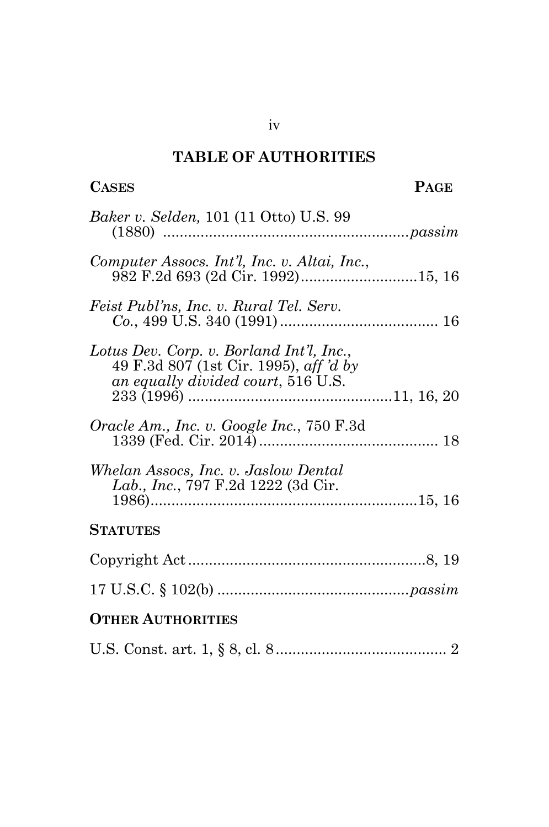## **TABLE OF AUTHORITIES**

| <b>CASES</b>                                                                                                             | <b>PAGE</b> |
|--------------------------------------------------------------------------------------------------------------------------|-------------|
| <i>Baker v. Selden,</i> 101 (11 Otto) U.S. 99                                                                            |             |
| Computer Assocs. Int'l, Inc. v. Altai, Inc.,<br>982 F.2d 693 (2d Cir. 1992)15, 16                                        |             |
| Feist Publ'ns, Inc. v. Rural Tel. Serv.                                                                                  |             |
| Lotus Dev. Corp. v. Borland Int'l, Inc.,<br>49 F.3d 807 (1st Cir. 1995), aff 'd by<br>an equally divided court, 516 U.S. |             |
| Oracle Am., Inc. v. Google Inc., 750 F.3d                                                                                |             |
| Whelan Assocs, Inc. v. Jaslow Dental<br>Lab., Inc., 797 F.2d 1222 (3d Cir.                                               |             |
| <b>STATUTES</b>                                                                                                          |             |
|                                                                                                                          |             |
|                                                                                                                          |             |
| <b>OTHER AUTHORITIES</b>                                                                                                 |             |
|                                                                                                                          |             |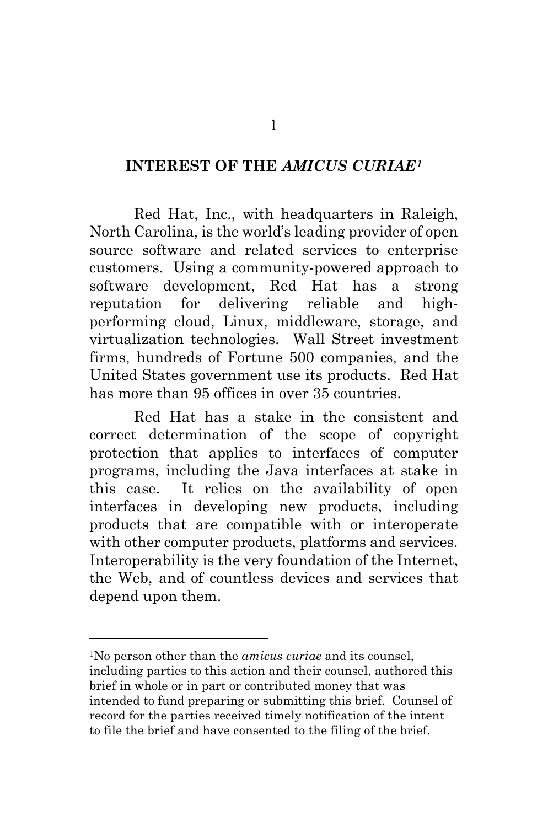## **INTEREST OF THE** *AMICUS CURIAE[1](#page-5-0)*

Red Hat, Inc., with headquarters in Raleigh, North Carolina, is the world's leading provider of open source software and related services to enterprise customers. Using a community-powered approach to software development, Red Hat has a strong reputation for delivering reliable and highperforming cloud, Linux, middleware, storage, and virtualization technologies. Wall Street investment firms, hundreds of Fortune 500 companies, and the United States government use its products. Red Hat has more than 95 offices in over 35 countries.

Red Hat has a stake in the consistent and correct determination of the scope of copyright protection that applies to interfaces of computer programs, including the Java interfaces at stake in this case. It relies on the availability of open interfaces in developing new products, including products that are compatible with or interoperate with other computer products, platforms and services. Interoperability is the very foundation of the Internet, the Web, and of countless devices and services that depend upon them.

<span id="page-5-0"></span>1No person other than the *amicus curiae* and its counsel, including parties to this action and their counsel, authored this brief in whole or in part or contributed money that was intended to fund preparing or submitting this brief. Counsel of record for the parties received timely notification of the intent to file the brief and have consented to the filing of the brief.

 $\overline{a}$ 

1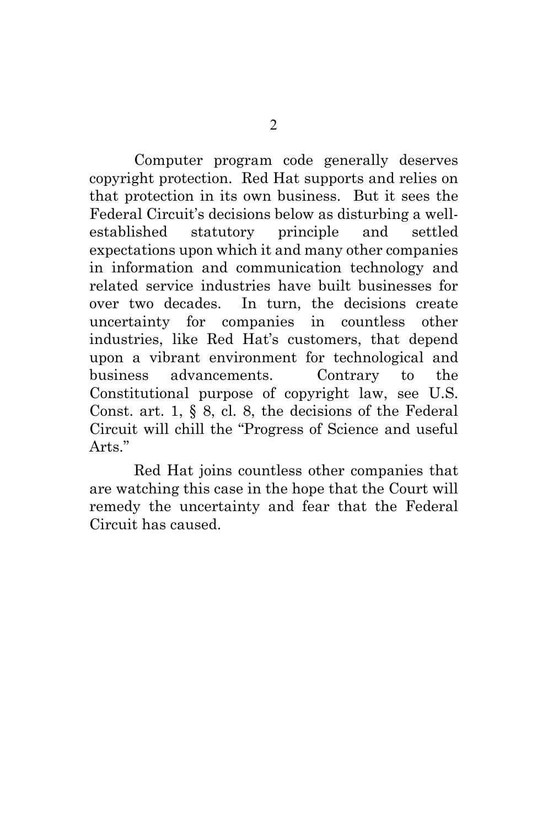Computer program code generally deserves copyright protection. Red Hat supports and relies on that protection in its own business. But it sees the Federal Circuit's decisions below as disturbing a wellestablished statutory principle and settled expectations upon which it and many other companies in information and communication technology and related service industries have built businesses for over two decades. In turn, the decisions create uncertainty for companies in countless other industries, like Red Hat's customers, that depend upon a vibrant environment for technological and business advancements. Contrary to the Constitutional purpose of copyright law, see U.S. Const. art. 1, § 8, cl. 8, the decisions of the Federal Circuit will chill the "Progress of Science and useful Arts."

<span id="page-6-0"></span>Red Hat joins countless other companies that are watching this case in the hope that the Court will remedy the uncertainty and fear that the Federal Circuit has caused.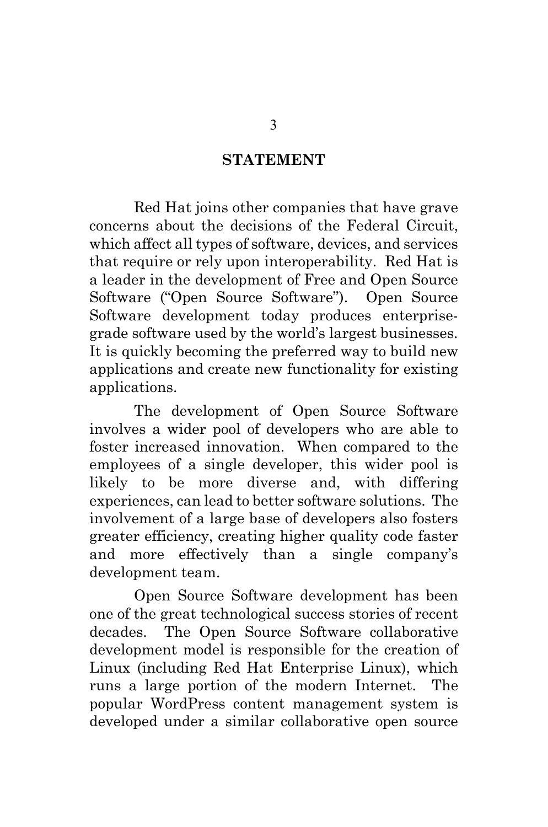#### **STATEMENT**

Red Hat joins other companies that have grave concerns about the decisions of the Federal Circuit, which affect all types of software, devices, and services that require or rely upon interoperability. Red Hat is a leader in the development of Free and Open Source Software ("Open Source Software"). Open Source Software development today produces enterprisegrade software used by the world's largest businesses. It is quickly becoming the preferred way to build new applications and create new functionality for existing applications.

The development of Open Source Software involves a wider pool of developers who are able to foster increased innovation. When compared to the employees of a single developer, this wider pool is likely to be more diverse and, with differing experiences, can lead to better software solutions. The involvement of a large base of developers also fosters greater efficiency, creating higher quality code faster and more effectively than a single company's development team.

Open Source Software development has been one of the great technological success stories of recent decades. The Open Source Software collaborative development model is responsible for the creation of Linux (including Red Hat Enterprise Linux), which runs a large portion of the modern Internet. The popular WordPress content management system is developed under a similar collaborative open source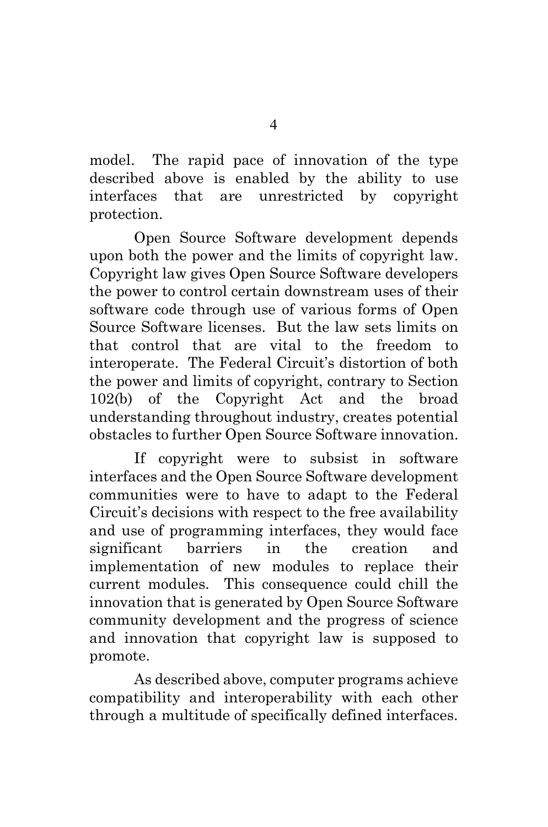model. The rapid pace of innovation of the type described above is enabled by the ability to use interfaces that are unrestricted by copyright protection.

Open Source Software development depends upon both the power and the limits of copyright law. Copyright law gives Open Source Software developers the power to control certain downstream uses of their software code through use of various forms of Open Source Software licenses. But the law sets limits on that control that are vital to the freedom to interoperate. The Federal Circuit's distortion of both the power and limits of copyright, contrary to Section 102(b) of the Copyright Act and the broad understanding throughout industry, creates potential obstacles to further Open Source Software innovation.

<span id="page-8-0"></span>If copyright were to subsist in software interfaces and the Open Source Software development communities were to have to adapt to the Federal Circuit's decisions with respect to the free availability and use of programming interfaces, they would face significant barriers in the creation and implementation of new modules to replace their current modules. This consequence could chill the innovation that is generated by Open Source Software community development and the progress of science and innovation that copyright law is supposed to promote.

As described above, computer programs achieve compatibility and interoperability with each other through a multitude of specifically defined interfaces.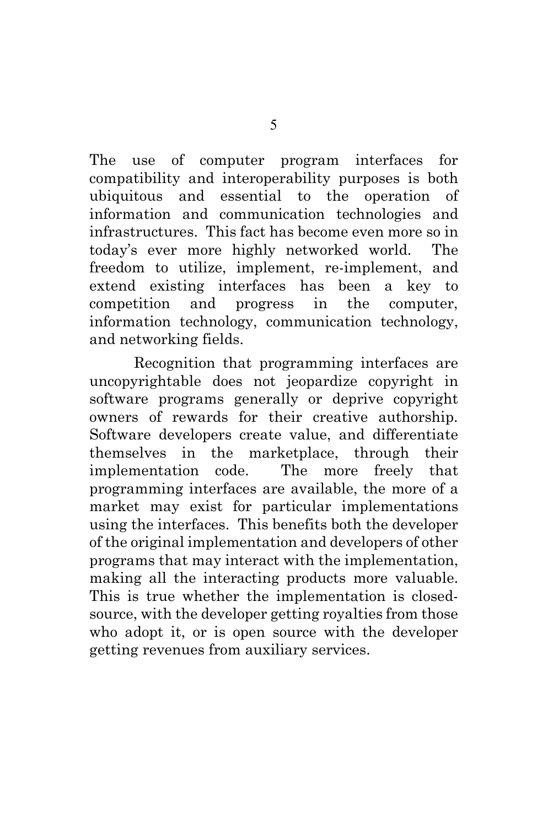The use of computer program interfaces for compatibility and interoperability purposes is both ubiquitous and essential to the operation of information and communication technologies and infrastructures. This fact has become even more so in today's ever more highly networked world. The freedom to utilize, implement, re-implement, and extend existing interfaces has been a key to competition and progress in the computer, information technology, communication technology, and networking fields.

Recognition that programming interfaces are uncopyrightable does not jeopardize copyright in software programs generally or deprive copyright owners of rewards for their creative authorship. Software developers create value, and differentiate themselves in the marketplace, through their implementation code. The more freely that programming interfaces are available, the more of a market may exist for particular implementations using the interfaces. This benefits both the developer of the original implementation and developers of other programs that may interact with the implementation, making all the interacting products more valuable. This is true whether the implementation is closedsource, with the developer getting royalties from those who adopt it, or is open source with the developer getting revenues from auxiliary services.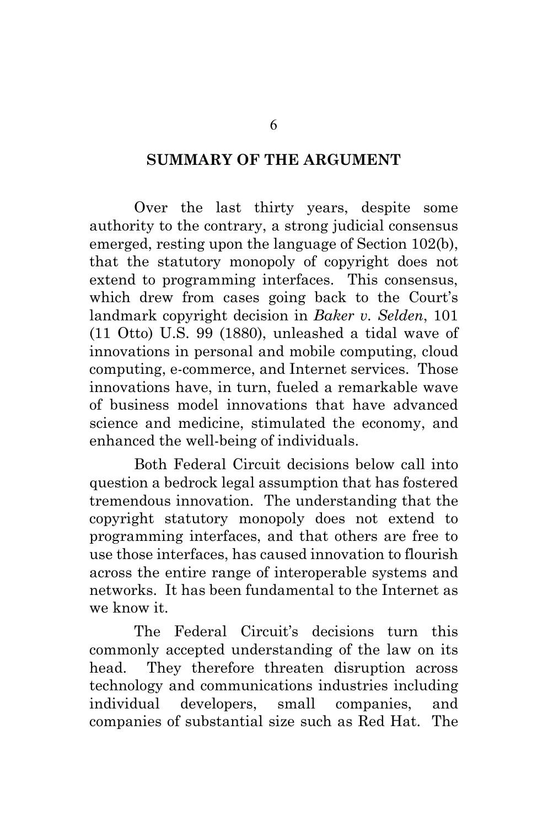#### **SUMMARY OF THE ARGUMENT**

Over the last thirty years, despite some authority to the contrary, a strong judicial consensus emerged, resting upon the language of Section 102(b), that the statutory monopoly of copyright does not extend to programming interfaces. This consensus, which drew from cases going back to the Court's landmark copyright decision in *Baker v. Selden*, 101 (11 Otto) U.S. 99 (1880), unleashed a tidal wave of innovations in personal and mobile computing, cloud computing, e-commerce, and Internet services. Those innovations have, in turn, fueled a remarkable wave of business model innovations that have advanced science and medicine, stimulated the economy, and enhanced the well-being of individuals.

Both Federal Circuit decisions below call into question a bedrock legal assumption that has fostered tremendous innovation. The understanding that the copyright statutory monopoly does not extend to programming interfaces, and that others are free to use those interfaces, has caused innovation to flourish across the entire range of interoperable systems and networks. It has been fundamental to the Internet as we know it.

The Federal Circuit's decisions turn this commonly accepted understanding of the law on its head. They therefore threaten disruption across technology and communications industries including individual developers, small companies, and companies of substantial size such as Red Hat. The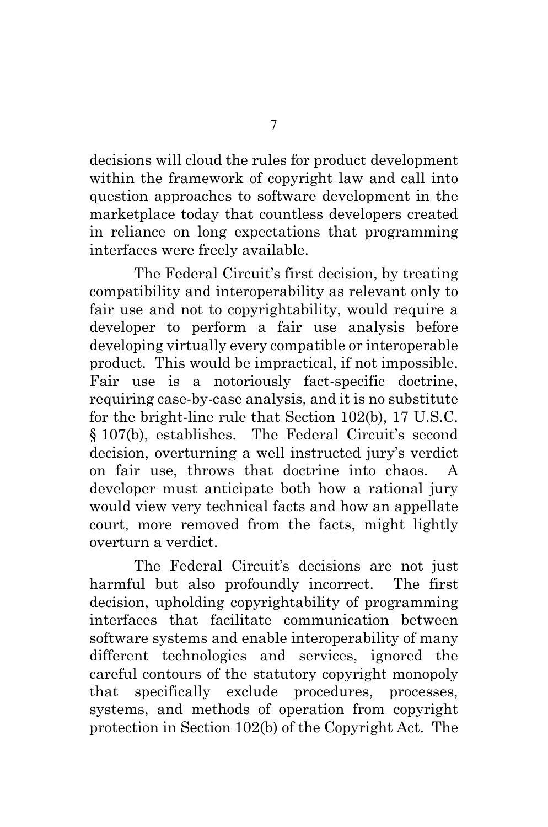decisions will cloud the rules for product development within the framework of copyright law and call into question approaches to software development in the marketplace today that countless developers created in reliance on long expectations that programming interfaces were freely available.

The Federal Circuit's first decision, by treating compatibility and interoperability as relevant only to fair use and not to copyrightability, would require a developer to perform a fair use analysis before developing virtually every compatible or interoperable product. This would be impractical, if not impossible. Fair use is a notoriously fact-specific doctrine, requiring case-by-case analysis, and it is no substitute for the bright-line rule that Section 102(b), 17 U.S.C. § 107(b), establishes. The Federal Circuit's second decision, overturning a well instructed jury's verdict on fair use, throws that doctrine into chaos. A developer must anticipate both how a rational jury would view very technical facts and how an appellate court, more removed from the facts, might lightly overturn a verdict.

The Federal Circuit's decisions are not just harmful but also profoundly incorrect. The first decision, upholding copyrightability of programming interfaces that facilitate communication between software systems and enable interoperability of many different technologies and services, ignored the careful contours of the statutory copyright monopoly that specifically exclude procedures, processes, systems, and methods of operation from copyright protection in Section 102(b) of the Copyright Act. The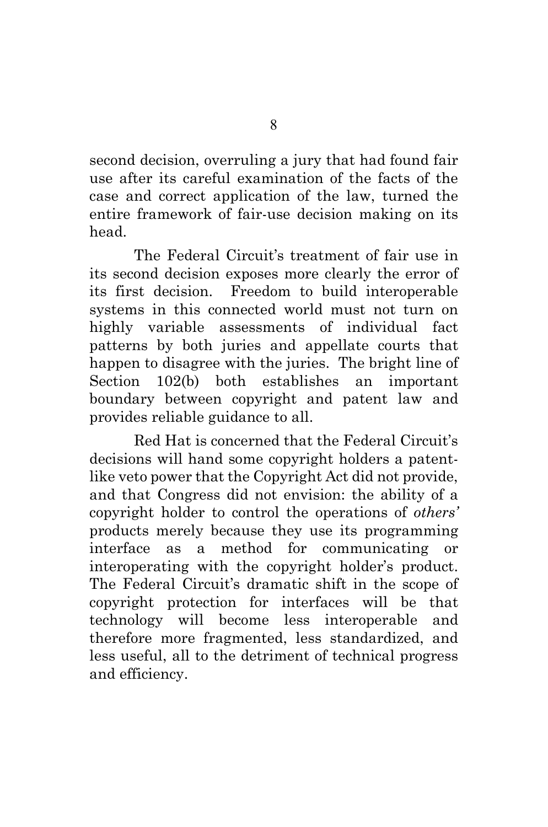second decision, overruling a jury that had found fair use after its careful examination of the facts of the case and correct application of the law, turned the entire framework of fair-use decision making on its head.

The Federal Circuit's treatment of fair use in its second decision exposes more clearly the error of its first decision. Freedom to build interoperable systems in this connected world must not turn on highly variable assessments of individual fact patterns by both juries and appellate courts that happen to disagree with the juries. The bright line of Section 102(b) both establishes an important boundary between copyright and patent law and provides reliable guidance to all.

<span id="page-12-0"></span>Red Hat is concerned that the Federal Circuit's decisions will hand some copyright holders a patentlike veto power that the Copyright Act did not provide, and that Congress did not envision: the ability of a copyright holder to control the operations of *others'* products merely because they use its programming interface as a method for communicating or interoperating with the copyright holder's product. The Federal Circuit's dramatic shift in the scope of copyright protection for interfaces will be that technology will become less interoperable and therefore more fragmented, less standardized, and less useful, all to the detriment of technical progress and efficiency.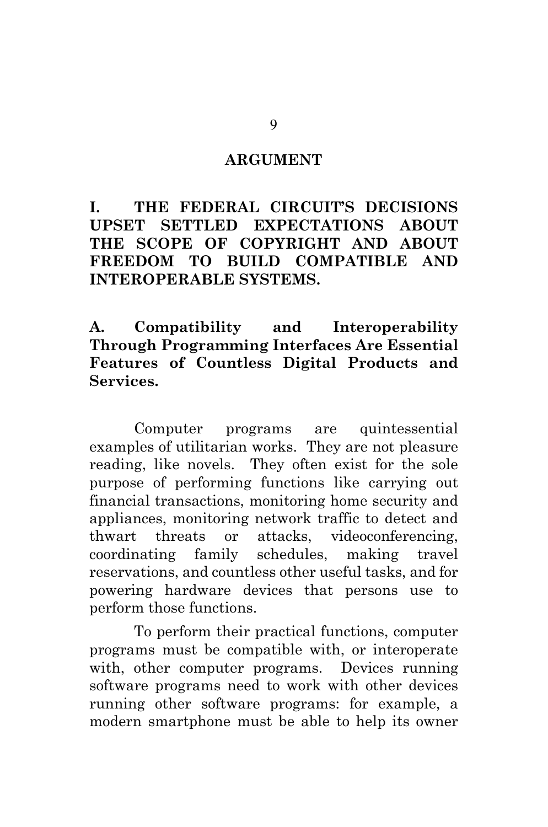#### **ARGUMENT**

**I. THE FEDERAL CIRCUIT'S DECISIONS UPSET SETTLED EXPECTATIONS ABOUT THE SCOPE OF COPYRIGHT AND ABOUT FREEDOM TO BUILD COMPATIBLE AND INTEROPERABLE SYSTEMS.**

**A. Compatibility and Interoperability Through Programming Interfaces Are Essential Features of Countless Digital Products and Services.**

Computer programs are quintessential examples of utilitarian works. They are not pleasure reading, like novels. They often exist for the sole purpose of performing functions like carrying out financial transactions, monitoring home security and appliances, monitoring network traffic to detect and thwart threats or attacks, videoconferencing, coordinating family schedules, making travel reservations, and countless other useful tasks, and for powering hardware devices that persons use to perform those functions.

To perform their practical functions, computer programs must be compatible with, or interoperate with, other computer programs. Devices running software programs need to work with other devices running other software programs: for example, a modern smartphone must be able to help its owner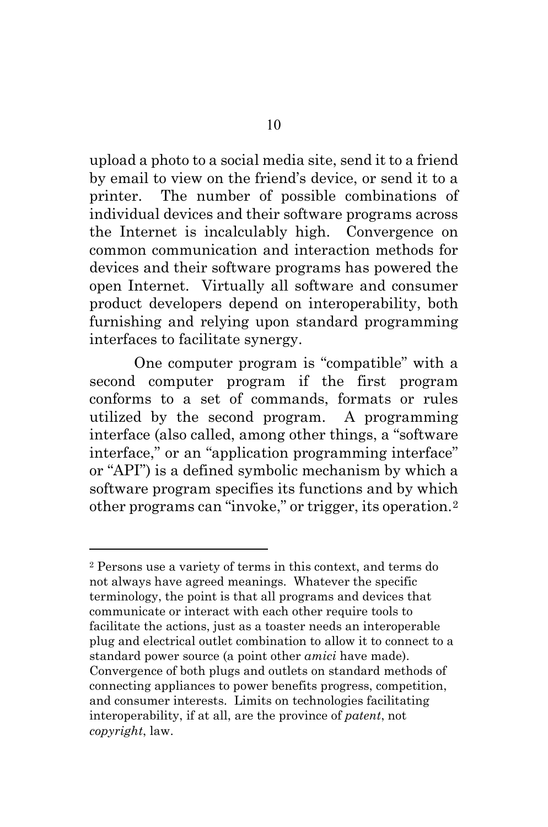upload a photo to a social media site, send it to a friend by email to view on the friend's device, or send it to a printer. The number of possible combinations of individual devices and their software programs across the Internet is incalculably high. Convergence on common communication and interaction methods for devices and their software programs has powered the open Internet. Virtually all software and consumer product developers depend on interoperability, both furnishing and relying upon standard programming interfaces to facilitate synergy.

One computer program is "compatible" with a second computer program if the first program conforms to a set of commands, formats or rules utilized by the second program. A programming interface (also called, among other things, a "software interface," or an "application programming interface" or "API") is a defined symbolic mechanism by which a software program specifies its functions and by which other programs can "invoke," or trigger, its operation.[2](#page-14-0)

 $\overline{a}$ 

<span id="page-14-0"></span><sup>2</sup> Persons use a variety of terms in this context, and terms do not always have agreed meanings. Whatever the specific terminology, the point is that all programs and devices that communicate or interact with each other require tools to facilitate the actions, just as a toaster needs an interoperable plug and electrical outlet combination to allow it to connect to a standard power source (a point other *amici* have made). Convergence of both plugs and outlets on standard methods of connecting appliances to power benefits progress, competition, and consumer interests. Limits on technologies facilitating interoperability, if at all, are the province of *patent*, not *copyright*, law.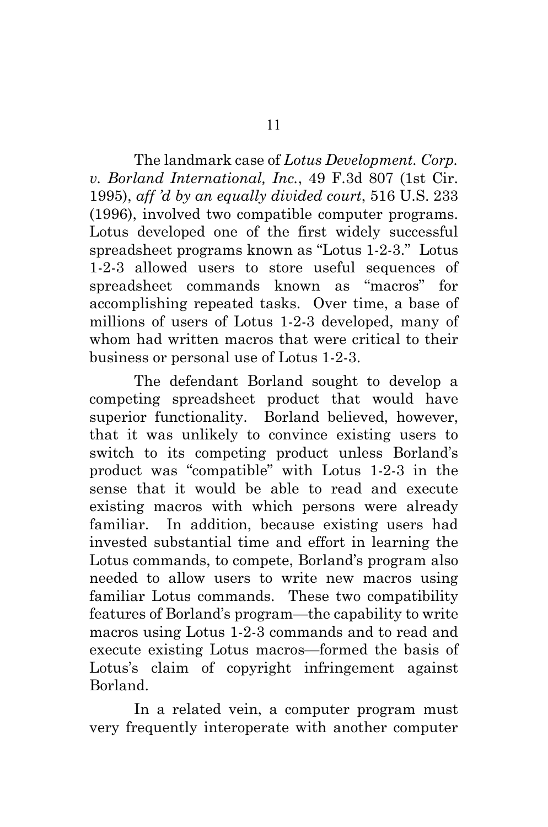<span id="page-15-0"></span>The landmark case of *Lotus Development. Corp. v. Borland International, Inc.*, 49 F.3d 807 (1st Cir. 1995), *aff 'd by an equally divided court*, 516 U.S. 233 (1996), involved two compatible computer programs. Lotus developed one of the first widely successful spreadsheet programs known as "Lotus 1-2-3." Lotus 1-2-3 allowed users to store useful sequences of spreadsheet commands known as "macros" for accomplishing repeated tasks. Over time, a base of millions of users of Lotus 1-2-3 developed, many of whom had written macros that were critical to their business or personal use of Lotus 1-2-3.

The defendant Borland sought to develop a competing spreadsheet product that would have superior functionality. Borland believed, however, that it was unlikely to convince existing users to switch to its competing product unless Borland's product was "compatible" with Lotus 1-2-3 in the sense that it would be able to read and execute existing macros with which persons were already familiar. In addition, because existing users had invested substantial time and effort in learning the Lotus commands, to compete, Borland's program also needed to allow users to write new macros using familiar Lotus commands. These two compatibility features of Borland's program—the capability to write macros using Lotus 1-2-3 commands and to read and execute existing Lotus macros—formed the basis of Lotus's claim of copyright infringement against Borland.

In a related vein, a computer program must very frequently interoperate with another computer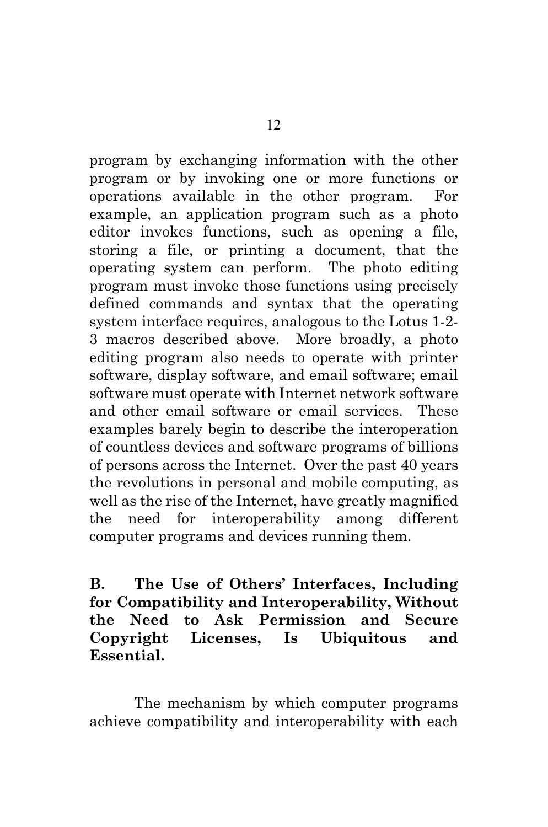program by exchanging information with the other program or by invoking one or more functions or operations available in the other program. For example, an application program such as a photo editor invokes functions, such as opening a file, storing a file, or printing a document, that the operating system can perform. The photo editing program must invoke those functions using precisely defined commands and syntax that the operating system interface requires, analogous to the Lotus 1-2- 3 macros described above. More broadly, a photo editing program also needs to operate with printer software, display software, and email software; email software must operate with Internet network software and other email software or email services. These examples barely begin to describe the interoperation of countless devices and software programs of billions of persons across the Internet. Over the past 40 years the revolutions in personal and mobile computing, as well as the rise of the Internet, have greatly magnified the need for interoperability among different computer programs and devices running them.

**B. The Use of Others' Interfaces, Including for Compatibility and Interoperability, Without the Need to Ask Permission and Secure Copyright Licenses, Is Ubiquitous and Essential.**

The mechanism by which computer programs achieve compatibility and interoperability with each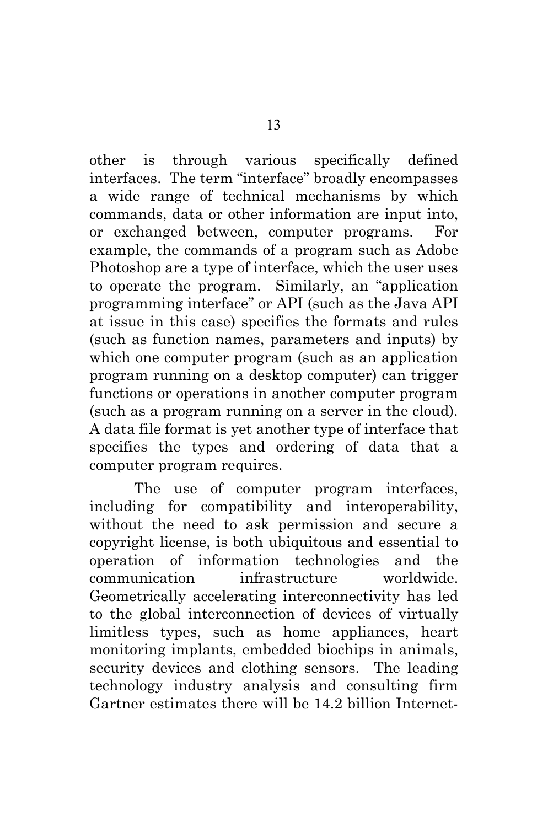other is through various specifically defined interfaces. The term "interface" broadly encompasses a wide range of technical mechanisms by which commands, data or other information are input into, or exchanged between, computer programs. For example, the commands of a program such as Adobe Photoshop are a type of interface, which the user uses to operate the program. Similarly, an "application programming interface" or API (such as the Java API at issue in this case) specifies the formats and rules (such as function names, parameters and inputs) by which one computer program (such as an application program running on a desktop computer) can trigger functions or operations in another computer program (such as a program running on a server in the cloud). A data file format is yet another type of interface that specifies the types and ordering of data that a computer program requires.

The use of computer program interfaces, including for compatibility and interoperability, without the need to ask permission and secure a copyright license, is both ubiquitous and essential to operation of information technologies and the communication infrastructure worldwide. Geometrically accelerating interconnectivity has led to the global interconnection of devices of virtually limitless types, such as home appliances, heart monitoring implants, embedded biochips in animals, security devices and clothing sensors. The leading technology industry analysis and consulting firm Gartner estimates there will be 14.2 billion Internet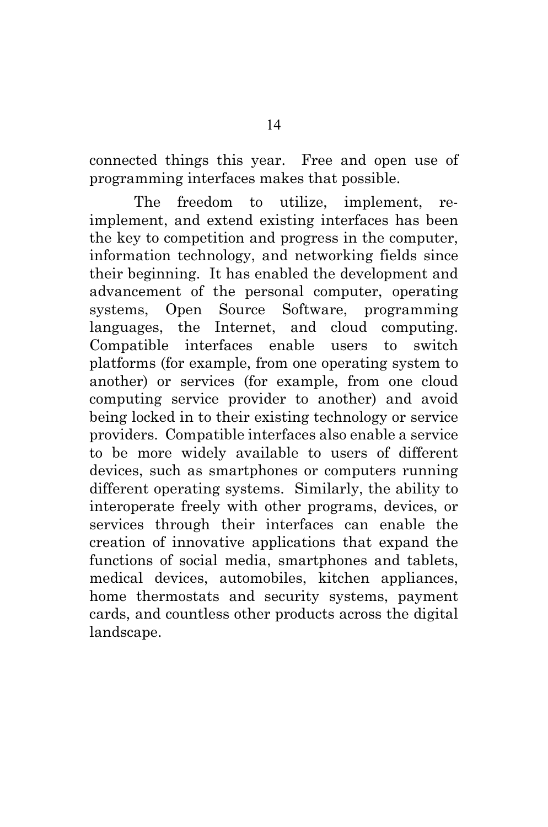connected things this year. Free and open use of programming interfaces makes that possible.

The freedom to utilize, implement, reimplement, and extend existing interfaces has been the key to competition and progress in the computer, information technology, and networking fields since their beginning. It has enabled the development and advancement of the personal computer, operating systems, Open Source Software, programming languages, the Internet, and cloud computing. Compatible interfaces enable users to switch platforms (for example, from one operating system to another) or services (for example, from one cloud computing service provider to another) and avoid being locked in to their existing technology or service providers. Compatible interfaces also enable a service to be more widely available to users of different devices, such as smartphones or computers running different operating systems. Similarly, the ability to interoperate freely with other programs, devices, or services through their interfaces can enable the creation of innovative applications that expand the functions of social media, smartphones and tablets, medical devices, automobiles, kitchen appliances, home thermostats and security systems, payment cards, and countless other products across the digital landscape.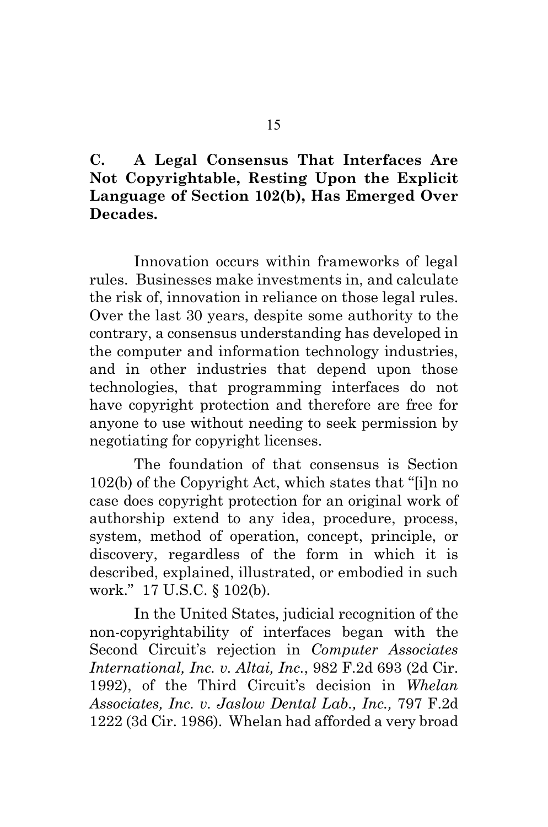## **C. A Legal Consensus That Interfaces Are Not Copyrightable, Resting Upon the Explicit Language of Section 102(b), Has Emerged Over Decades.**

Innovation occurs within frameworks of legal rules. Businesses make investments in, and calculate the risk of, innovation in reliance on those legal rules. Over the last 30 years, despite some authority to the contrary, a consensus understanding has developed in the computer and information technology industries, and in other industries that depend upon those technologies, that programming interfaces do not have copyright protection and therefore are free for anyone to use without needing to seek permission by negotiating for copyright licenses.

The foundation of that consensus is Section 102(b) of the Copyright Act, which states that "[i]n no case does copyright protection for an original work of authorship extend to any idea, procedure, process, system, method of operation, concept, principle, or discovery, regardless of the form in which it is described, explained, illustrated, or embodied in such work." 17 U.S.C. § 102(b).

<span id="page-19-1"></span><span id="page-19-0"></span>In the United States, judicial recognition of the non-copyrightability of interfaces began with the Second Circuit's rejection in *Computer Associates International, Inc. v. Altai, Inc.*, 982 F.2d 693 (2d Cir. 1992), of the Third Circuit's decision in *Whelan Associates, Inc. v. Jaslow Dental Lab., Inc.,* 797 F.2d 1222 (3d Cir. 1986). Whelan had afforded a very broad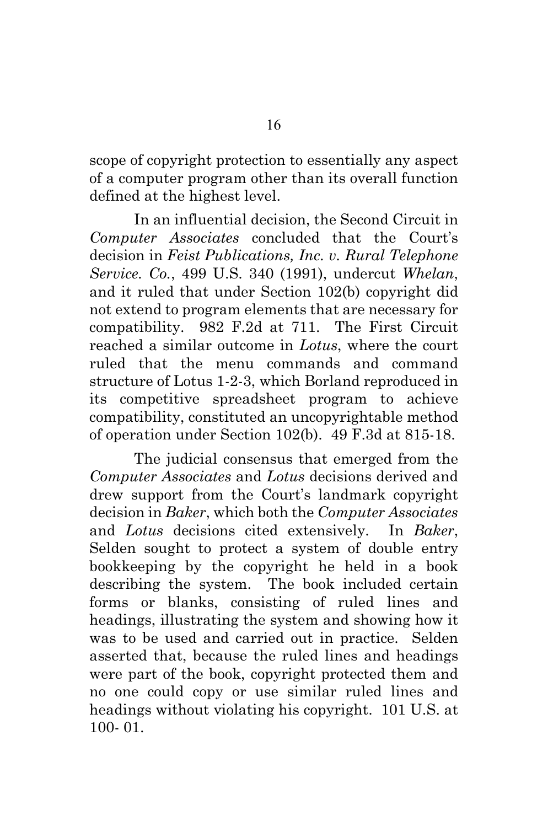scope of copyright protection to essentially any aspect of a computer program other than its overall function defined at the highest level.

<span id="page-20-1"></span><span id="page-20-0"></span>In an influential decision, the Second Circuit in *Computer Associates* concluded that the Court's decision in *Feist Publications, Inc. v. Rural Telephone Service. Co.*, 499 U.S. 340 (1991), undercut *Whelan*, and it ruled that under Section 102(b) copyright did not extend to program elements that are necessary for compatibility. 982 F.2d at 711. The First Circuit reached a similar outcome in *Lotus*, where the court ruled that the menu commands and command structure of Lotus 1-2-3, which Borland reproduced in its competitive spreadsheet program to achieve compatibility, constituted an uncopyrightable method of operation under Section 102(b). 49 F.3d at 815-18.

<span id="page-20-2"></span>The judicial consensus that emerged from the *Computer Associates* and *Lotus* decisions derived and drew support from the Court's landmark copyright decision in *Baker*, which both the *Computer Associates* and *Lotus* decisions cited extensively. In *Baker*, Selden sought to protect a system of double entry bookkeeping by the copyright he held in a book describing the system. The book included certain forms or blanks, consisting of ruled lines and headings, illustrating the system and showing how it was to be used and carried out in practice. Selden asserted that, because the ruled lines and headings were part of the book, copyright protected them and no one could copy or use similar ruled lines and headings without violating his copyright. 101 U.S. at 100- 01.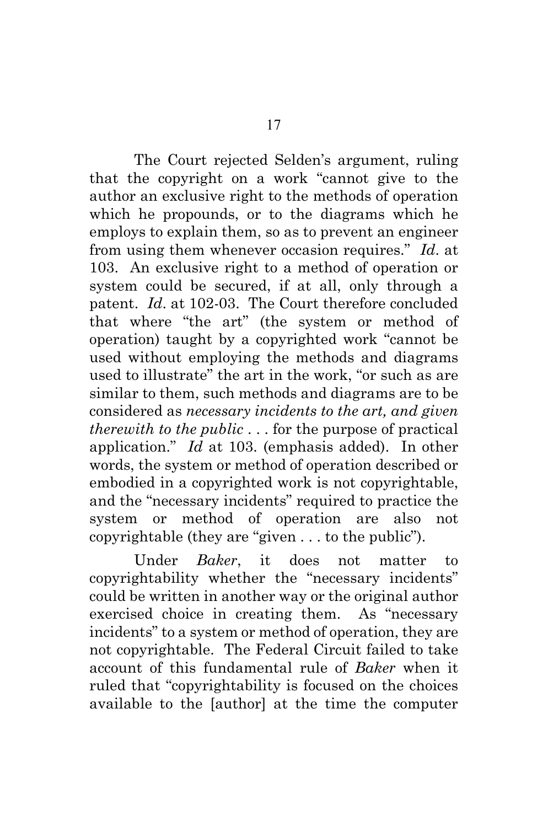The Court rejected Selden's argument, ruling that the copyright on a work "cannot give to the author an exclusive right to the methods of operation which he propounds, or to the diagrams which he employs to explain them, so as to prevent an engineer from using them whenever occasion requires." *Id*. at 103. An exclusive right to a method of operation or system could be secured, if at all, only through a patent. *Id*. at 102-03. The Court therefore concluded that where "the art" (the system or method of operation) taught by a copyrighted work "cannot be used without employing the methods and diagrams used to illustrate" the art in the work, "or such as are similar to them, such methods and diagrams are to be considered as *necessary incidents to the art, and given therewith to the public* . . . for the purpose of practical application." *Id* at 103. (emphasis added). In other words, the system or method of operation described or embodied in a copyrighted work is not copyrightable, and the "necessary incidents" required to practice the system or method of operation are also not copyrightable (they are "given . . . to the public").

Under *Baker*, it does not matter to copyrightability whether the "necessary incidents" could be written in another way or the original author exercised choice in creating them. As "necessary incidents" to a system or method of operation, they are not copyrightable. The Federal Circuit failed to take account of this fundamental rule of *Baker* when it ruled that "copyrightability is focused on the choices available to the [author] at the time the computer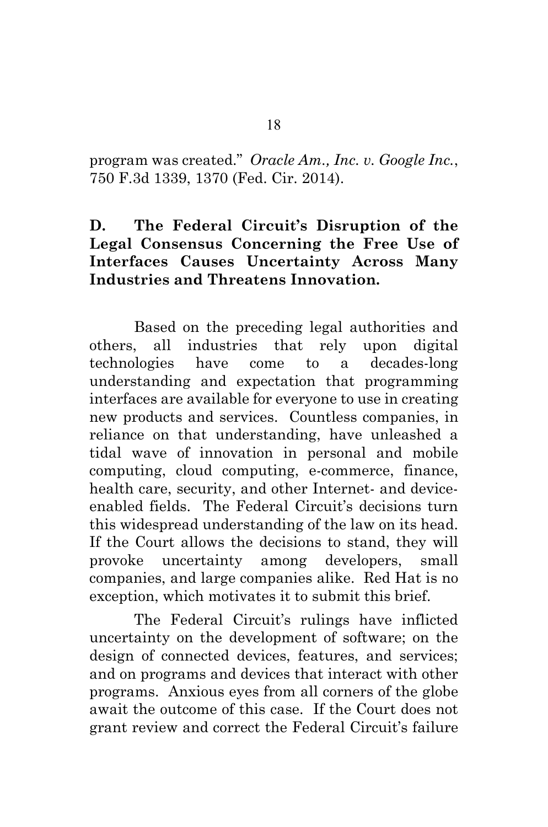<span id="page-22-0"></span>program was created." *Oracle Am., Inc. v. Google Inc.*, 750 F.3d 1339, 1370 (Fed. Cir. 2014).

## **D. The Federal Circuit's Disruption of the Legal Consensus Concerning the Free Use of Interfaces Causes Uncertainty Across Many Industries and Threatens Innovation.**

Based on the preceding legal authorities and others, all industries that rely upon digital technologies have come to a decades-long understanding and expectation that programming interfaces are available for everyone to use in creating new products and services. Countless companies, in reliance on that understanding, have unleashed a tidal wave of innovation in personal and mobile computing, cloud computing, e-commerce, finance, health care, security, and other Internet- and deviceenabled fields. The Federal Circuit's decisions turn this widespread understanding of the law on its head. If the Court allows the decisions to stand, they will provoke uncertainty among developers, small companies, and large companies alike. Red Hat is no exception, which motivates it to submit this brief.

The Federal Circuit's rulings have inflicted uncertainty on the development of software; on the design of connected devices, features, and services; and on programs and devices that interact with other programs. Anxious eyes from all corners of the globe await the outcome of this case. If the Court does not grant review and correct the Federal Circuit's failure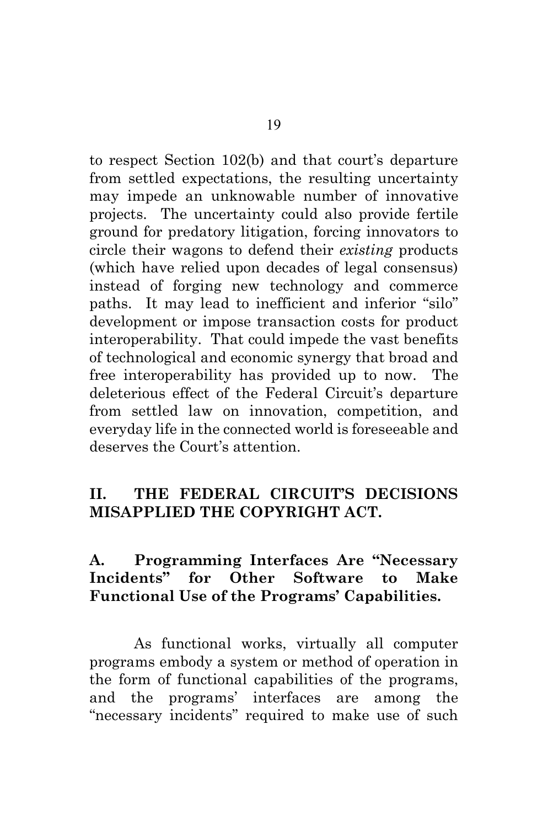to respect Section 102(b) and that court's departure from settled expectations, the resulting uncertainty may impede an unknowable number of innovative projects. The uncertainty could also provide fertile ground for predatory litigation, forcing innovators to circle their wagons to defend their *existing* products (which have relied upon decades of legal consensus) instead of forging new technology and commerce paths. It may lead to inefficient and inferior "silo" development or impose transaction costs for product interoperability. That could impede the vast benefits of technological and economic synergy that broad and free interoperability has provided up to now. The deleterious effect of the Federal Circuit's departure from settled law on innovation, competition, and everyday life in the connected world is foreseeable and deserves the Court's attention.

## **II. THE FEDERAL CIRCUIT'S DECISIONS MISAPPLIED THE COPYRIGHT ACT.**

### **A. Programming Interfaces Are "Necessary Incidents" for Other Software to Make Functional Use of the Programs' Capabilities.**

As functional works, virtually all computer programs embody a system or method of operation in the form of functional capabilities of the programs, and the programs' interfaces are among the "necessary incidents" required to make use of such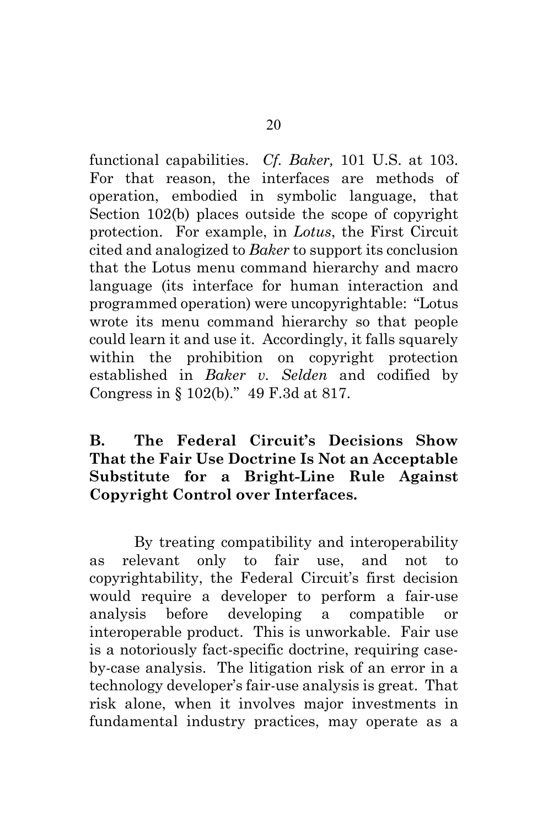<span id="page-24-0"></span>functional capabilities. *Cf. Baker,* 101 U.S. at 103. For that reason, the interfaces are methods of operation, embodied in symbolic language, that Section 102(b) places outside the scope of copyright protection. For example, in *Lotus*, the First Circuit cited and analogized to *Baker* to support its conclusion that the Lotus menu command hierarchy and macro language (its interface for human interaction and programmed operation) were uncopyrightable: "Lotus wrote its menu command hierarchy so that people could learn it and use it. Accordingly, it falls squarely within the prohibition on copyright protection established in *Baker v. Selden* and codified by Congress in § 102(b)." 49 F.3d at 817.

## **B. The Federal Circuit's Decisions Show That the Fair Use Doctrine Is Not an Acceptable Substitute for a Bright-Line Rule Against Copyright Control over Interfaces.**

By treating compatibility and interoperability as relevant only to fair use, and not to copyrightability, the Federal Circuit's first decision would require a developer to perform a fair-use analysis before developing a compatible or interoperable product. This is unworkable. Fair use is a notoriously fact-specific doctrine, requiring caseby-case analysis. The litigation risk of an error in a technology developer's fair-use analysis is great. That risk alone, when it involves major investments in fundamental industry practices, may operate as a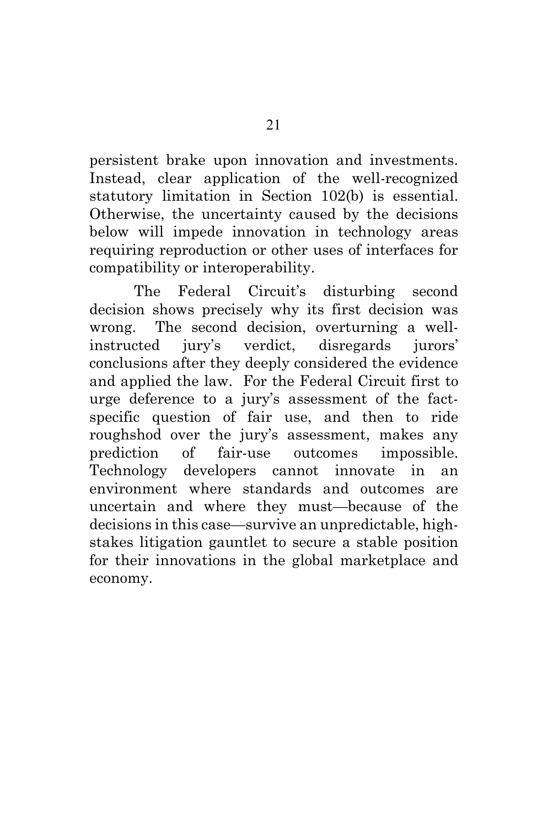persistent brake upon innovation and investments. Instead, clear application of the well-recognized statutory limitation in Section 102(b) is essential. Otherwise, the uncertainty caused by the decisions below will impede innovation in technology areas requiring reproduction or other uses of interfaces for compatibility or interoperability.

The Federal Circuit's disturbing second decision shows precisely why its first decision was wrong. The second decision, overturning a wellinstructed jury's verdict, disregards jurors' conclusions after they deeply considered the evidence and applied the law. For the Federal Circuit first to urge deference to a jury's assessment of the factspecific question of fair use, and then to ride roughshod over the jury's assessment, makes any prediction of fair-use outcomes impossible. Technology developers cannot innovate in an environment where standards and outcomes are uncertain and where they must—because of the decisions in this case—survive an unpredictable, highstakes litigation gauntlet to secure a stable position for their innovations in the global marketplace and economy.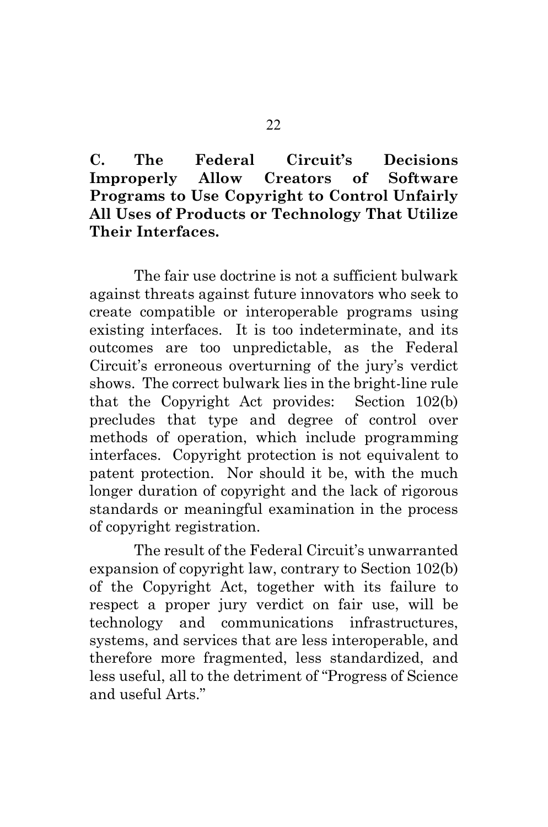**C. The Federal Circuit's Decisions Improperly Allow Creators of Software Programs to Use Copyright to Control Unfairly All Uses of Products or Technology That Utilize Their Interfaces.**

The fair use doctrine is not a sufficient bulwark against threats against future innovators who seek to create compatible or interoperable programs using existing interfaces. It is too indeterminate, and its outcomes are too unpredictable, as the Federal Circuit's erroneous overturning of the jury's verdict shows. The correct bulwark lies in the bright-line rule that the Copyright Act provides: Section 102(b) precludes that type and degree of control over methods of operation, which include programming interfaces. Copyright protection is not equivalent to patent protection. Nor should it be, with the much longer duration of copyright and the lack of rigorous standards or meaningful examination in the process of copyright registration.

The result of the Federal Circuit's unwarranted expansion of copyright law, contrary to Section 102(b) of the Copyright Act, together with its failure to respect a proper jury verdict on fair use, will be technology and communications infrastructures, systems, and services that are less interoperable, and therefore more fragmented, less standardized, and less useful, all to the detriment of "Progress of Science and useful Arts."